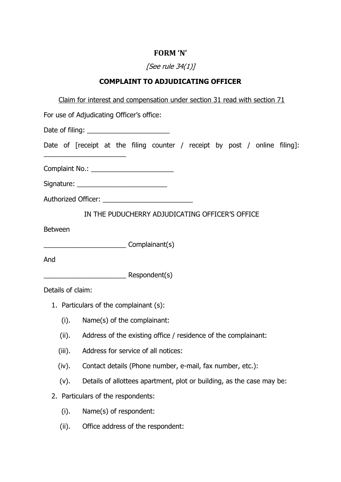## **FORM 'N'**

# [See rule 34(1)]

### **COMPLAINT TO ADJUDICATING OFFICER**

| Claim for interest and compensation under section 31 read with section 71                                                                                                                                |
|----------------------------------------------------------------------------------------------------------------------------------------------------------------------------------------------------------|
| For use of Adjudicating Officer's office:                                                                                                                                                                |
|                                                                                                                                                                                                          |
| Date of [receipt at the filing counter / receipt by post / online filing]:<br><u>.</u><br>1960 - Paul Barbara, primeira español estadounidense en la propincia de la propincia de la propincia de la pro |
| Complaint No.: _________________________                                                                                                                                                                 |
| Signature: _____________________________                                                                                                                                                                 |
| Authorized Officer: ____________________________                                                                                                                                                         |
| IN THE PUDUCHERRY ADJUDICATING OFFICER'S OFFICE                                                                                                                                                          |
| <b>Between</b>                                                                                                                                                                                           |
| Complainant(s)                                                                                                                                                                                           |
| And                                                                                                                                                                                                      |
| Respondent(s)                                                                                                                                                                                            |
| Details of claim:                                                                                                                                                                                        |
| 1. Particulars of the complainant (s):                                                                                                                                                                   |
| (i).<br>Name(s) of the complainant:                                                                                                                                                                      |
| (ii).<br>Address of the existing office / residence of the complainant:                                                                                                                                  |
| (iii). Address for service of all notices:                                                                                                                                                               |
| (iv).<br>Contact details (Phone number, e-mail, fax number, etc.):                                                                                                                                       |
| Details of allottees apartment, plot or building, as the case may be:<br>(v).                                                                                                                            |
| 2. Particulars of the respondents:                                                                                                                                                                       |
| Name(s) of respondent:<br>(i).                                                                                                                                                                           |
| (ii).<br>Office address of the respondent:                                                                                                                                                               |
|                                                                                                                                                                                                          |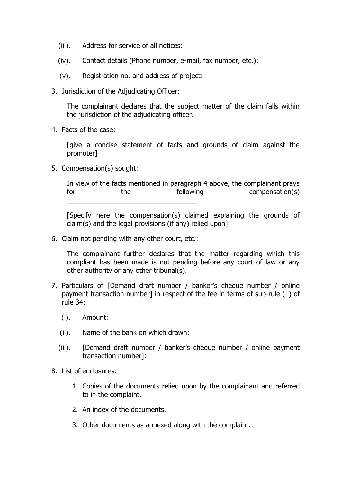- (iii). Address for service of all notices:
- (iv). Contact details (Phone number, e-mail, fax number, etc.):
- (v). Registration no. and address of project:
- 3. Jurisdiction of the Adjudicating Officer:

The complainant declares that the subject matter of the claim falls within the jurisdiction of the adjudicating officer.

4. Facts of the case:

[give a concise statement of facts and grounds of claim against the promoter]

5. Compensation(s) sought:

In view of the facts mentioned in paragraph 4 above, the complainant prays for the the following compensation(s) \_\_\_\_\_\_\_\_\_\_\_\_\_\_\_\_\_\_\_\_\_\_\_\_\_\_\_\_\_\_\_\_\_\_\_

[Specify here the compensation(s) claimed explaining the grounds of claim(s) and the legal provisions (if any) relied upon]

6. Claim not pending with any other court, etc.:

The complainant further declares that the matter regarding which this compliant has been made is not pending before any court of law or any other authority or any other tribunal(s).

- 7. Particulars of [Demand draft number / banker's cheque number / online payment transaction number] in respect of the fee in terms of sub-rule (1) of rule 34:
	- (i). Amount:
	- (ii). Name of the bank on which drawn:
	- (iii). [Demand draft number / banker's cheque number / online payment transaction number]:
- 8. List of enclosures:
	- 1. Copies of the documents relied upon by the complainant and referred to in the complaint.
	- 2. An index of the documents.
	- 3. Other documents as annexed along with the complaint.